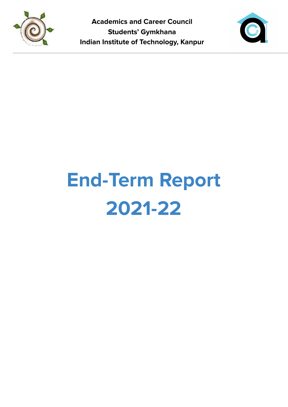



# **End-Term Report 2021-22**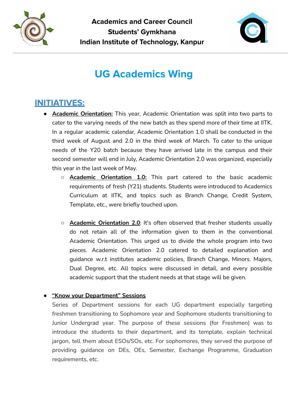



## **UG Academics Wing**

### **INITIATIVES:**

- **Academic Orientation:** This year, Academic Orientation was split into two parts to cater to the varying needs of the new batch as they spend more of their time at IITK. In a regular academic calendar, Academic Orientation 1.0 shall be conducted in the third week of August and 2.0 in the third week of March. To cater to the unique needs of the Y20 batch because they have arrived late in the campus and their second semester will end in July, Academic Orientation 2.0 was organized, especially this year in the last week of May.
	- **Academic Orientation 1.0:** This part catered to the basic academic requirements of fresh (Y21) students. Students were introduced to Academics Curriculum at IITK, and topics such as Branch Change, Credit System, Template, etc., were briefly touched upon.
	- **Academic Orientation 2.0**: It's often observed that fresher students usually do not retain all of the information given to them in the conventional Academic Orientation. This urged us to divide the whole program into two pieces. Academic Orientation 2.0 catered to detailed explanation and guidance w.r.t institutes academic policies, Branch Change, Minors. Majors, Dual Degree, etc. All topics were discussed in detail, and every possible academic support that the student needs at that stage will be given.

#### **● "Know your Department" Sessions**

Series of Department sessions for each UG department especially targeting freshmen transitioning to Sophomore year and Sophomore students transitioning to Junior Undergrad year. The purpose of these sessions (for Freshmen) was to introduce the students to their department, and its template, explain technical jargon, tell them about ESOs/SOs, etc. For sophomores, they served the purpose of providing guidance on DEs, OEs, Semester, Exchange Programme, Graduation requirements, etc.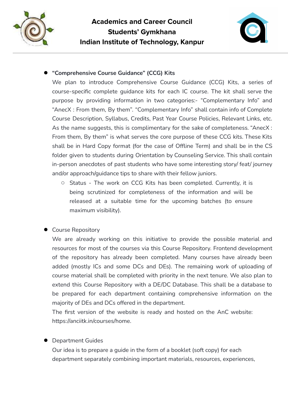



#### **● "Comprehensive Course Guidance" (CCG) Kits**

We plan to introduce Comprehensive Course Guidance (CCG) Kits, a series of course-specific complete guidance kits for each IC course. The kit shall serve the purpose by providing information in two categories:- "Complementary Info" and "AnecX : From them, By them". "Complementary Info" shall contain info of Complete Course Description, Syllabus, Credits, Past Year Course Policies, Relevant Links, etc. As the name suggests, this is complimentary for the sake of completeness. "AnecX : From them, By them" is what serves the core purpose of these CCG kits. These Kits shall be in Hard Copy format (for the case of Offline Term) and shall be in the CS folder given to students during Orientation by Counseling Service. This shall contain in-person anecdotes of past students who have some interesting story/ feat/ journey and/or approach/guidance tips to share with their fellow juniors.

○ Status - The work on CCG Kits has been completed. Currently, it is being scrutinized for completeness of the information and will be released at a suitable time for the upcoming batches (to ensure maximum visibility).

#### **●** Course Repository

We are already working on this initiative to provide the possible material and resources for most of the courses via this Course Repository. Frontend development of the repository has already been completed. Many courses have already been added (mostly ICs and some DCs and DEs). The remaining work of uploading of course material shall be completed with priority in the next tenure. We also plan to extend this Course Repository with a DE/DC Database. This shall be a database to be prepared for each department containing comprehensive information on the majority of DEs and DCs offered in the department.

The first version of the website is ready and hosted on the AnC website: <https://anciitk.in/courses/home>.

#### **●** Department Guides

Our idea is to prepare a guide in the form of a booklet (soft copy) for each department separately combining important materials, resources, experiences,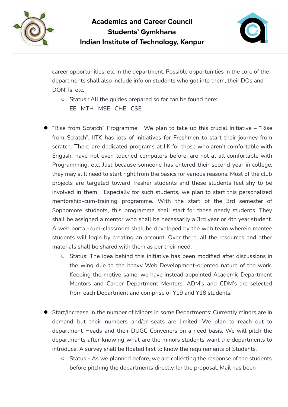



career opportunities, etc in the department. Possible opportunities in the core of the departments shall also include info on students who got into them, their DOs and DON'Ts, etc.

- **○** Status : All the guides prepared so far can be found here: [EE](https://www.canva.com/design/DAEm6j7v0YE/m380RSW8MjkfxXlaMqtuqw/view?utm_content=DAEm6j7v0YE&utm_campaign=designshare&utm_medium=link&utm_source=sharebutton) [MTH](https://www.canva.com/design/DAEm-Kr45yI/ISbyu8XlrsdmnMqW8FEwXQ/view?utm_content=DAEm-Kr45yI&utm_campaign=designshare&utm_medium=link&utm_source=sharebutton) [MSE](https://docs.google.com/document/d/17jJgs1UL-UVbmygRx2qyOC0EoUNg6I_kay7ozZer0To/edit?usp=sharing) [CHE](https://docs.google.com/document/d/1Q44lp7R0xxNjuFYjadmGpUtWh9pSYUa5qHwJyM8lNl8/edit?usp=sharing) [CSE](https://docs.google.com/document/d/1mFmr2yzK_hLFFlR9lpAWz7r1YQAIKgF0nc6jK4UUP2o/edit?usp=sharing)
- **●** "Rise from Scratch" Programme: We plan to take up this crucial Initiative "Rise from Scratch". IITK has lots of initiatives for Freshmen to start their journey from scratch. There are dedicated programs at IIK for those who aren't comfortable with English, have not even touched computers before, are not at all comfortable with Programming, etc. Just because someone has entered their second year in college, they may still need to start right from the basics for various reasons. Most of the club projects are targeted toward fresher students and these students feel shy to be involved in them. Especially for such students, we plan to start this personalized mentorship-cum-training programme. With the start of the 3rd semester of Sophomore students, this programme shall start for those needy students. They shall be assigned a mentor who shall be necessarily a 3rd year or 4th year student. A web portal-cum-classroom shall be developed by the web team wherein mentee students will login by creating an account. Over there, all the resources and other materials shall be shared with them as per their need.
	- Status: The idea behind this initiative has been modified after discussions in the wing due to the heavy Web Development-oriented nature of the work. Keeping the motive same, we have instead appointed Academic Department Mentors and Career Department Mentors. ADM's and CDM's are selected from each Department and comprise of Y19 and Y18 students.
- **●** Start/Increase in the number of Minors in some Departments: Currently minors are in demand but their numbers and/or seats are limited. We plan to reach out to department Heads and their DUGC Conveners on a need basis. We will pitch the departments after knowing what are the minors students want the departments to introduce. A survey shall be floated first to know the requirements of Students.
	- Status As we planned before, we are collecting the response of the students before pitching the departments directly for the proposal. Mail has been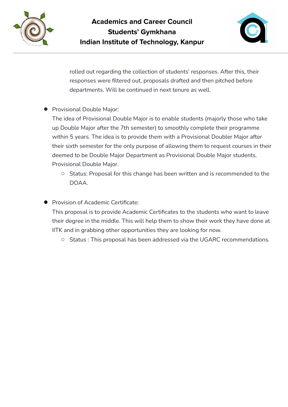



rolled out regarding the collection of students' responses. After this, their responses were filtered out, proposals drafted and then pitched before departments. Will be continued in next tenure as well.

**●** Provisional Double Major:

The idea of Provisional Double Major is to enable students (majorly those who take up Double Major after the 7th semester) to smoothly complete their programme within 5 years. The idea is to provide them with a Provisional Doubler Major after their sixth semester for the only purpose of allowing them to request courses in their deemed to be Double Major Department as Provisional Double Major students. [Provisional](https://docs.google.com/document/d/1WGkQpCsy4xoaJUK5yMhKtbBsdoEXeyvvE18NGRYH10I/edit) Double Major.

- Status: Proposal for this change has been written and is recommended to the DOAA.
- **●** Provision of Academic Certificate:

This proposal is to provide Academic Certificates to the students who want to leave their degree in the middle. This will help them to show their work they have done at IITK and in grabbing other opportunities they are looking for now.

○ Status : This proposal has been addressed via the UGARC recommendations.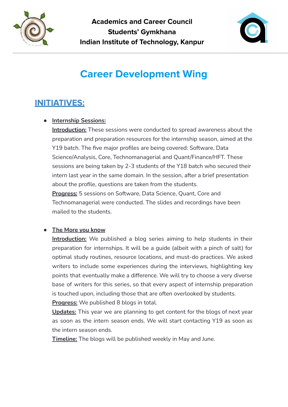



## **Career Development Wing**

## **INITIATIVES:**

#### **● Internship Sessions:**

**Introduction:** These sessions were conducted to spread awareness about the preparation and preparation resources for the internship season, aimed at the Y19 batch. The five major profiles are being covered: Software, Data Science/Analysis, Core, Technomanagerial and Quant/Finance/HFT. These sessions are being taken by 2-3 students of the Y18 batch who secured their intern last year in the same domain. In the session, after a brief presentation about the profile, questions are taken from the students. **Progress:** 5 sessions on Software, Data Science, Quant, Core and Technomanagerial were conducted. The slides and recordings have been mailed to the students.

#### **● The More you know**

**Introduction:** We published a blog series aiming to help students in their preparation for internships. It will be a guide (albeit with a pinch of salt) for optimal study routines, resource locations, and must-do practices. We asked writers to include some experiences during the interviews, highlighting key points that eventually make a difference. We will try to choose a very diverse base of writers for this series, so that every aspect of internship preparation is touched upon, including those that are often overlooked by students.

**Progress:** We published 8 blogs in total.

**Updates:** This year we are planning to get content for the blogs of next year as soon as the intern season ends. We will start contacting Y19 as soon as the intern season ends.

**Timeline:** The blogs will be published weekly in May and June.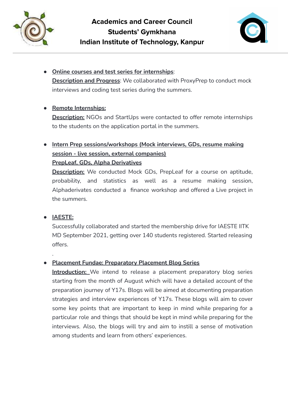



● **Online courses and test series for internships**: **Description and Progress**: We collaborated with ProxyPrep to conduct mock interviews and coding test series during the summers.

#### **● Remote Internships:**

**Description:** NGOs and StartUps were contacted to offer remote internships to the students on the application portal in the summers.

#### **● Intern Prep sessions/workshops (Mock interviews, GDs, resume making session - live session, external companies) PrepLeaf, GDs, Alpha Derivatives**

**Description:** We conducted Mock GDs, PrepLeaf for a course on aptitude, probability, and statistics as well as a resume making session, Alphaderivates conducted a finance workshop and offered a Live project in the summers.

#### **● IAESTE:**

.

Successfully collaborated and started the membership drive for IAESTE IITK MD September 2021, getting over 140 students registered. Started releasing offers.

#### ● **Placement Fundae: Preparatory Placement Blog Series**

**Introduction:** We intend to release a placement preparatory blog series starting from the month of August which will have a detailed account of the preparation journey of Y17s. Blogs will be aimed at documenting preparation strategies and interview experiences of Y17s. These blogs will aim to cover some key points that are important to keep in mind while preparing for a particular role and things that should be kept in mind while preparing for the interviews. Also, the blogs will try and aim to instill a sense of motivation among students and learn from others' experiences.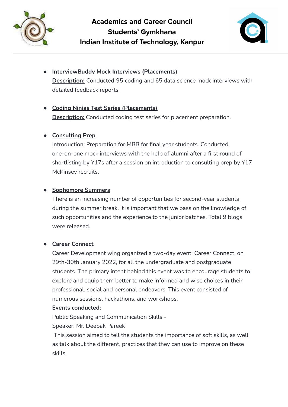



**● InterviewBuddy Mock Interviews (Placements) Description:** Conducted 95 coding and 65 data science mock interviews with detailed feedback reports.

#### **● Coding Ninjas Test Series (Placements)**

**Description:** Conducted coding test series for placement preparation.

#### **● Consulting Prep**

Introduction: Preparation for MBB for final year students. Conducted one-on-one mock interviews with the help of alumni after a first round of shortlisting by Y17s after a session on introduction to consulting prep by Y17 McKinsey recruits.

#### **● Sophomore Summers**

There is an increasing number of opportunities for second-year students during the summer break. It is important that we pass on the knowledge of such opportunities and the experience to the junior batches. Total 9 blogs were released.

#### **● Career Connect**

Career Development wing organized a two-day event, Career Connect, on 29th-30th January 2022, for all the undergraduate and postgraduate students. The primary intent behind this event was to encourage students to explore and equip them better to make informed and wise choices in their professional, social and personal endeavors. This event consisted of numerous sessions, hackathons, and workshops.

#### **Events conducted:**

Public Speaking and Communication Skills -

Speaker: Mr. Deepak Pareek

This session aimed to tell the students the importance of soft skills, as well as talk about the different, practices that they can use to improve on these skills.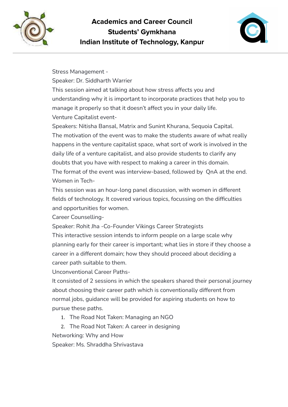



Stress Management - Speaker: Dr. Siddharth Warrier This session aimed at talking about how stress affects you and understanding why it is important to incorporate practices that help you to manage it properly so that it doesn't affect you in your daily life. Venture Capitalist event-

Speakers: Nitisha Bansal, Matrix and Sunint Khurana, Sequoia Capital. The motivation of the event was to make the students aware of what really happens in the venture capitalist space, what sort of work is involved in the daily life of a venture capitalist, and also provide students to clarify any doubts that you have with respect to making a career in this domain. The format of the event was interview-based, followed by QnA at the end. Women in Tech-

This session was an hour-long panel discussion, with women in different fields of technology. It covered various topics, focussing on the difficulties and opportunities for women.

Career Counselling-

Speaker: Rohit Jha -Co-Founder Vikings Career Strategists

This interactive session intends to inform people on a large scale why planning early for their career is important; what lies in store if they choose a career in a different domain; how they should proceed about deciding a career path suitable to them.

Unconventional Career Paths-

It consisted of 2 sessions in which the speakers shared their personal journey about choosing their career path which is conventionally different from normal jobs, guidance will be provided for aspiring students on how to pursue these paths.

- 1. The Road Not Taken: Managing an NGO
- 2. The Road Not Taken: A career in designing

Networking: Why and How

Speaker: Ms. Shraddha Shrivastava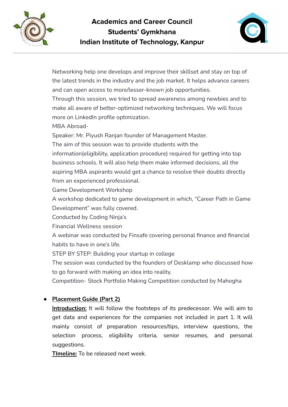



Networking help one develops and improve their skillset and stay on top of the latest trends in the industry and the job market. It helps advance careers and can open access to more/lesser-known job opportunities.

Through this session, we tried to spread awareness among newbies and to make all aware of better-optimized networking techniques. We will focus more on LinkedIn profile optimization.

MBA Abroad-

Speaker: Mr. Piyush Ranjan founder of Management Master.

The aim of this session was to provide students with the

information(eligibility, application procedure) required for getting into top business schools. It will also help them make informed decisions, all the aspiring MBA aspirants would get a chance to resolve their doubts directly from an experienced professional.

Game Development Workshop

A workshop dedicated to game development in which, "Career Path in Game Development" was fully covered.

Conducted by Coding Ninja's

Financial Wellness session

A webinar was conducted by Finsafe covering personal finance and financial habits to have in one's life.

STEP BY STEP: Building your startup in college

The session was conducted by the founders of Desklamp who discussed how to go forward with making an idea into reality.

Competition- Stock Portfolio Making Competition conducted by Mahogha

#### **● Placement Guide (Part 2)**

**Introduction:** It will follow the footsteps of its predecessor. We will aim to get data and experiences for the companies not included in part 1. It will mainly consist of preparation resources/tips, interview questions, the selection process, eligibility criteria, senior resumes, and personal suggestions.

**TImeline:** To be released next week.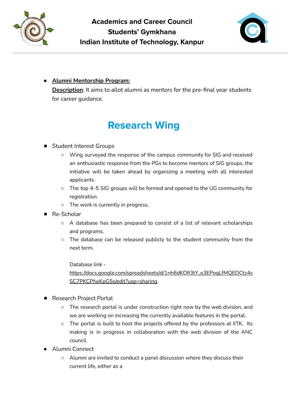



#### **● Alumni Mentorship Program:**

**Description**: It aims to allot alumni as mentors for the pre-final year students for career quidance.

# **Research Wing**

#### ● Student Interest Groups

- Wing surveyed the response of the campus community for SIG and received an enthusiastic response from the PGs to become mentors of SIG groups, the initiative will be taken ahead by organizing a meeting with all interested applicants.
- The top 4-5 SIG groups will be formed and opened to the UG community for registration.
- The work is currently in progress.
- Re-Scholar
	- A database has been prepared to consist of a list of relevant scholarships and programs.
	- The database can be released publicly to the student community from the next term.

Database link -

[https://docs.google.com/spreadsheets/d/1nh6dKOfi3tY\\_e3EPogLfMQEDCtz4s](https://docs.google.com/spreadsheets/d/1nh6dKOfi3tY_e3EPogLfMQEDCtz4sSC7PKCPfwKpG5s/edit?usp=sharing) [SC7PKCPfwKpG5s/edit?usp=sharing](https://docs.google.com/spreadsheets/d/1nh6dKOfi3tY_e3EPogLfMQEDCtz4sSC7PKCPfwKpG5s/edit?usp=sharing)

- Research Project Portal
	- The research portal is under construction right now by the web division, and we are working on increasing the currently available features in the portal.
	- The portal is built to host the projects offered by the professors at IITK. Its making is in progress in collaboration with the web division of the ANC council.
- Alumni Connect
	- Alumni are invited to conduct a panel discussion where they discuss their current life, either as a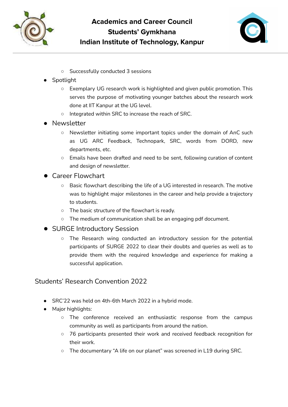



- Successfully conducted 3 sessions
- Spotlight
	- Exemplary UG research work is highlighted and given public promotion. This serves the purpose of motivating younger batches about the research work done at IIT Kanpur at the UG level.
	- Integrated within SRC to increase the reach of SRC.
- Newsletter
	- Newsletter initiating some important topics under the domain of AnC such as UG ARC Feedback, Technopark, SRC, words from DORD, new departments, etc.
	- Emails have been drafted and need to be sent, following curation of content and design of newsletter.
- Career Flowchart
	- Basic flowchart describing the life of a UG interested in research. The motive was to highlight major milestones in the career and help provide a trajectory to students.
	- The basic structure of the flowchart is ready.
	- The medium of communication shall be an engaging pdf document.
- SURGE Introductory Session
	- The Research wing conducted an introductory session for the potential participants of SURGE 2022 to clear their doubts and queries as well as to provide them with the required knowledge and experience for making a successful application.

#### Students' Research Convention 2022

- SRC'22 was held on 4th-6th March 2022 in a hybrid mode.
- Major highlights:
	- The conference received an enthusiastic response from the campus community as well as participants from around the nation.
	- 76 participants presented their work and received feedback recognition for their work.
	- The documentary "A life on our planet" was screened in L19 during SRC.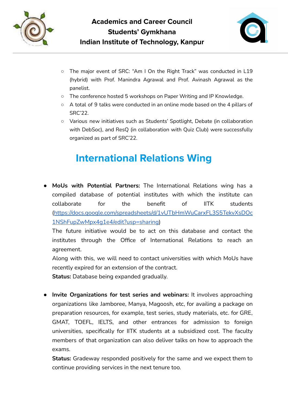



- The major event of SRC: "Am I On the Right Track" was conducted in L19 (hybrid) with Prof. Manindra Agrawal and Prof. Avinash Agrawal as the panelist.
- The conference hosted 5 workshops on Paper Writing and IP Knowledge.
- A total of 9 talks were conducted in an online mode based on the 4 pillars of SRC'22.
- Various new initiatives such as Students' Spotlight, Debate (in collaboration with DebSoc), and ResQ (in collaboration with Quiz Club) were successfully organized as part of SRC'22.

## **International Relations Wing**

● **MoUs with Potential Partners:** The International Relations wing has a compiled database of potential institutes with which the institute can collaborate for the benefit of IITK students ([https://docs.google.com/spreadsheets/d/1vUTbHmWuCarxFL3S5TekvXsDOc](https://docs.google.com/spreadsheets/d/1vUTbHmWuCarxFL3S5TekvXsDOc1NShFupZwMpx4g1e4/edit?usp=sharing) [1NShFupZwMpx4g1e4/edit?usp=sharing\)](https://docs.google.com/spreadsheets/d/1vUTbHmWuCarxFL3S5TekvXsDOc1NShFupZwMpx4g1e4/edit?usp=sharing)

The future initiative would be to act on this database and contact the institutes through the Office of International Relations to reach an agreement.

Along with this, we will need to contact universities with which MoUs have recently expired for an extension of the contract.

**Status:** Database being expanded gradually.

● **Invite Organizations for test series and webinars:** It involves approaching organizations like Jamboree, Manya, Magoosh, etc, for availing a package on preparation resources, for example, test series, study materials, etc. for GRE, GMAT, TOEFL, IELTS, and other entrances for admission to foreign universities, specifically for IITK students at a subsidized cost. The faculty members of that organization can also deliver talks on how to approach the exams.

**Status:** Gradeway responded positively for the same and we expect them to continue providing services in the next tenure too.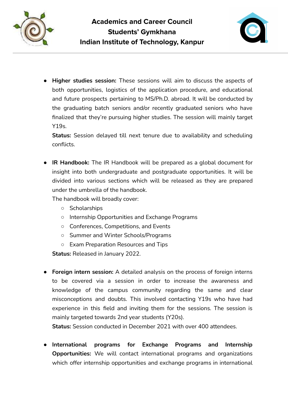



**● Higher studies session:** These sessions will aim to discuss the aspects of both opportunities, logistics of the application procedure, and educational and future prospects pertaining to MS/Ph.D. abroad. It will be conducted by the graduating batch seniors and/or recently graduated seniors who have finalized that they're pursuing higher studies. The session will mainly target Y19s.

**Status:** Session delayed till next tenure due to availability and scheduling conflicts.

**● IR Handbook:** The IR Handbook will be prepared as a global document for insight into both undergraduate and postgraduate opportunities. It will be divided into various sections which will be released as they are prepared under the umbrella of the handbook.

The handbook will broadly cover:

- Scholarships
- Internship Opportunities and Exchange Programs
- Conferences, Competitions, and Events
- Summer and Winter Schools/Programs
- Exam Preparation Resources and Tips

**Status:** Released in January 2022.

**● Foreign intern session:** A detailed analysis on the process of foreign interns to be covered via a session in order to increase the awareness and knowledge of the campus community regarding the same and clear misconceptions and doubts. This involved contacting Y19s who have had experience in this field and inviting them for the sessions. The session is mainly targeted towards 2nd year students (Y20s).

**Status:** Session conducted in December 2021 with over 400 attendees.

**● International programs for Exchange Programs and Internship Opportunities:** We will contact international programs and organizations which offer internship opportunities and exchange programs in international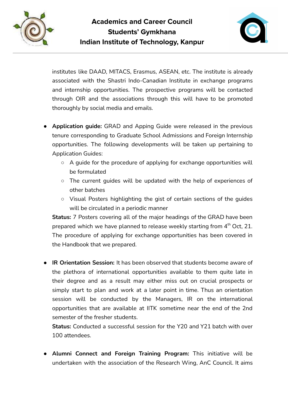



institutes like DAAD, MITACS, Erasmus, ASEAN, etc. The institute is already associated with the Shastri Indo-Canadian Institute in exchange programs and internship opportunities. The prospective programs will be contacted through OIR and the associations through this will have to be promoted thoroughly by social media and emails.

- **● Application guide:** GRAD and Apping Guide were released in the previous tenure corresponding to Graduate School Admissions and Foreign Internship opportunities. The following developments will be taken up pertaining to Application Guides:
	- $\circ$  A guide for the procedure of applying for exchange opportunities will be formulated
	- The current guides will be updated with the help of experiences of other batches
	- Visual Posters highlighting the gist of certain sections of the guides will be circulated in a periodic manner

**Status:** 7 Posters covering all of the major headings of the GRAD have been prepared which we have planned to release weekly starting from  $4^{\text{th}}$  Oct, 21. The procedure of applying for exchange opportunities has been covered in the Handbook that we prepared.

**● IR Orientation Session:** It has been observed that students become aware of the plethora of international opportunities available to them quite late in their degree and as a result may either miss out on crucial prospects or simply start to plan and work at a later point in time. Thus an orientation session will be conducted by the Managers, IR on the international opportunities that are available at IITK sometime near the end of the 2nd semester of the fresher students.

**Status:** Conducted a successful session for the Y20 and Y21 batch with over 100 attendees.

● **Alumni Connect and Foreign Training Program:** This initiative will be undertaken with the association of the Research Wing, AnC Council. It aims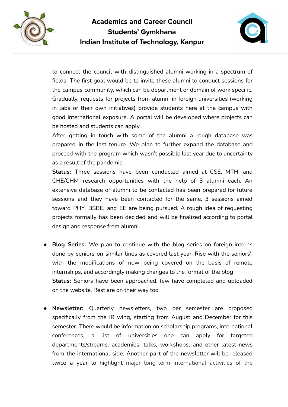



to connect the council with distinguished alumni working in a spectrum of fields. The first goal would be to invite these alumni to conduct sessions for the campus community, which can be department or domain of work specific. Gradually, requests for projects from alumni in foreign universities (working in labs or their own initiatives) provide students here at the campus with good international exposure. A portal will be developed where projects can be hosted and students can apply.

After getting in touch with some of the alumni a rough database was prepared in the last tenure. We plan to further expand the database and proceed with the program which wasn't possible last year due to uncertainty as a result of the pandemic.

**Status:** Three sessions have been conducted aimed at CSE, MTH, and CHE/CHM research opportunities with the help of 3 alumni each. An extensive database of alumni to be contacted has been prepared for future sessions and they have been contacted for the same. 3 sessions aimed toward PHY, BSBE, and EE are being pursued. A rough idea of requesting projects formally has been decided and will be finalized according to portal design and response from alumni.

- **● Blog Series:** We plan to continue with the blog series on foreign interns done by seniors on similar lines as covered last year 'Rise with the seniors', with the modifications of now being covered on the basis of remote internships, and accordingly making changes to the format of the blog **Status:** Seniors have been approached, few have completed and uploaded on the website. Rest are on their way too.
- **Newsletter:** Quarterly newsletters, two per semester are proposed specifically from the IR wing, starting from August and December for this semester. There would be information on scholarship programs, international conferences, a list of universities one can apply for targeted departments/streams, academies, talks, workshops, and other latest news from the international side. Another part of the newsletter will be released twice a year to highlight major long-term international activities of the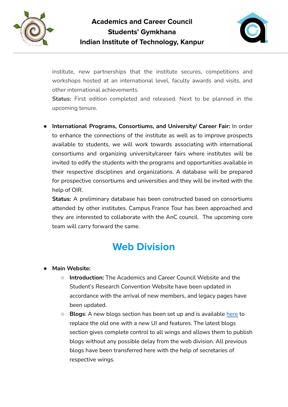



institute, new partnerships that the institute secures, competitions and workshops hosted at an international level, faculty awards and visits, and other international achievements.

**Status:** First edition completed and released. Next to be planned in the upcoming tenure.

**● International Programs, Consortiums, and University/ Career Fair:** In order to enhance the connections of the institute as well as to improve prospects available to students, we will work towards associating with international consortiums and organizing university/career fairs where institutes will be invited to edify the students with the programs and opportunities available in their respective disciplines and organizations. A database will be prepared for prospective consortiums and universities and they will be invited with the help of OIR.

**Status:** A preliminary database has been constructed based on consortiums attended by other institutes. Campus France Tour has been approached and they are interested to collaborate with the AnC council. The upcoming core team will carry forward the same.

## **Web Division**

- **● Main Website:**
	- **○ Introduction:** The Academics and Career Council Website and the Student's Research Convention Website have been updated in accordance with the arrival of new members, and legacy pages have been updated.
	- **Blogs**: A new blogs section has been set up and is available [here](https://blogs.anciitk.in) to replace the old one with a new UI and features. The latest blogs section gives complete control to all wings and allows them to publish blogs without any possible delay from the web division. All previous blogs have been transferred here with the help of secretaries of respective wings.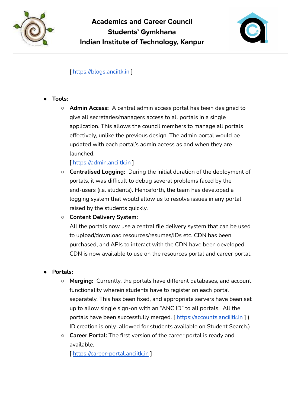



#### [ <https://blogs.anciitk.in> ]

- **● Tools:**
	- **○ Admin Access:** A central admin access portal has been designed to give all secretaries/managers access to all portals in a single application. This allows the council members to manage all portals effectively, unlike the previous design. The admin portal would be updated with each portal's admin access as and when they are launched.

[ <https://admin.anciitk.in> ]

**○ Centralised Logging:** During the initial duration of the deployment of portals, it was difficult to debug several problems faced by the end-users (i.e. students). Henceforth, the team has developed a logging system that would allow us to resolve issues in any portal raised by the students quickly.

#### **○ Content Delivery System:**

All the portals now use a central file delivery system that can be used to upload/download resources/resumes/JDs etc. CDN has been purchased, and APIs to interact with the CDN have been developed. CDN is now available to use on the resources portal and career portal.

#### **● Portals:**

- **○ Merging:** Currently, the portals have different databases, and account functionality wherein students have to register on each portal separately. This has been fixed, and appropriate servers have been set up to allow single sign-on with an "ANC ID" to all portals. All the portals have been successfully merged. [ <https://accounts.anciiitk.in> ] ( ID creation is only allowed for students available on Student Search.)
- **○ Career Portal:** The first version of the career portal is ready and available.

[ <https://career-portal.anciitk.in> ]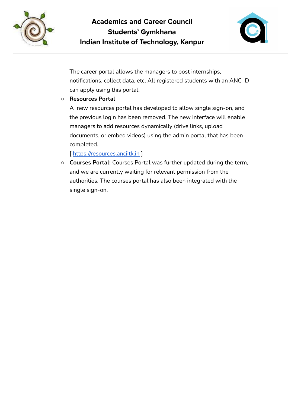



The career portal allows the managers to post internships, notifications, collect data, etc. All registered students with an ANC ID can apply using this portal.

#### **○ Resources Portal**

A new resources portal has developed to allow single sign-on, and the previous login has been removed. The new interface will enable managers to add resources dynamically (drive links, upload documents, or embed videos) using the admin portal that has been completed.

[ <https://resources.anciitk.in> ]

**○ Courses Portal:** Courses Portal was further updated during the term, and we are currently waiting for relevant permission from the authorities. The courses portal has also been integrated with the single sign-on.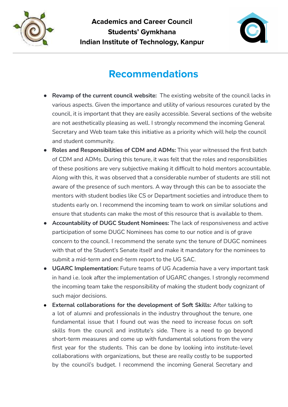



## **Recommendations**

- **Revamp of the current council website:** The existing website of the council lacks in various aspects. Given the importance and utility of various resources curated by the council, it is important that they are easily accessible. Several sections of the website are not aesthetically pleasing as well. I strongly recommend the incoming General Secretary and Web team take this initiative as a priority which will help the council and student community.
- **Roles and Responsibilities of CDM and ADMs:** This year witnessed the first batch of CDM and ADMs. During this tenure, it was felt that the roles and responsibilities of these positions are very subjective making it difficult to hold mentors accountable. Along with this, it was observed that a considerable number of students are still not aware of the presence of such mentors. A way through this can be to associate the mentors with student bodies like CS or Department societies and introduce them to students early on. I recommend the incoming team to work on similar solutions and ensure that students can make the most of this resource that is available to them.
- **Accountability of DUGC Student Nominees:** The lack of responsiveness and active participation of some DUGC Nominees has come to our notice and is of grave concern to the council. I recommend the senate sync the tenure of DUGC nominees with that of the Student's Senate itself and make it mandatory for the nominees to submit a mid-term and end-term report to the UG SAC.
- **UGARC Implementation:** Future teams of UG Academia have a very important task in hand i.e. look after the implementation of UGARC changes. I strongly recommend the incoming team take the responsibility of making the student body cognizant of such major decisions.
- **● External collaborations for the development of Soft Skills:** After talking to a lot of alumni and professionals in the industry throughout the tenure, one fundamental issue that I found out was the need to increase focus on soft skills from the council and institute's side. There is a need to go beyond short-term measures and come up with fundamental solutions from the very first year for the students. This can be done by looking into institute-level collaborations with organizations, but these are really costly to be supported by the council's budget. I recommend the incoming General Secretary and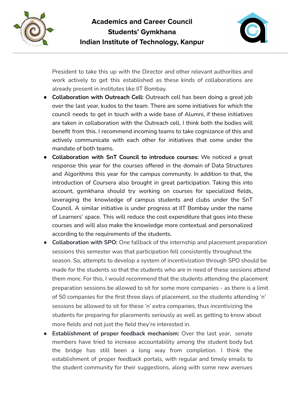



President to take this up with the Director and other relevant authorities and work actively to get this established as these kinds of collaborations are already present in institutes like IIT Bombay.

- **Collaboration with Outreach Cell:** Outreach cell has been doing a great job over the last year, kudos to the team. There are some initiatives for which the council needs to get in touch with a wide base of Alumni, if these initiatives are taken in collaboration with the Outreach cell, I think both the bodies will benefit from this. I recommend incoming teams to take cognizance of this and actively communicate with each other for initiatives that come under the mandate of both teams.
- **Collaboration with SnT Council to introduce courses:** We noticed a great response this year for the courses offered in the domain of Data Structures and Algorithms this year for the campus community. In addition to that, the introduction of Coursera also brought in great participation. Taking this into account, gymkhana should try working on courses for specialized fields, leveraging the knowledge of campus students and clubs under the SnT Council. A similar initiative is under progress at IIT Bombay under the name of Learners' space. This will reduce the cost expenditure that goes into these courses and will also make the knowledge more contextual and personalized according to the requirements of the students.
- **Collaboration with SPO:** One fallback of the internship and placement preparation sessions this semester was that participation fell consistently throughout the season. So, attempts to develop a system of incentivization through SPO should be made for the students so that the students who are in need of these sessions attend them more. For this, I would recommend that the students attending the placement preparation sessions be allowed to sit for some more companies - as there is a limit of 50 companies for the first three days of placement, so the students attending 'n' sessions be allowed to sit for these 'n' extra companies, thus incentivizing the students for preparing for placements seriously as well as getting to know about more fields and not just the field they're interested in.
- **Establishment of proper feedback mechanism:** Over the last year, senate members have tried to increase accountability among the student body but the bridge has still been a long way from completion. I think the establishment of proper feedback portals, with regular and timely emails to the student community for their suggestions, along with some new avenues